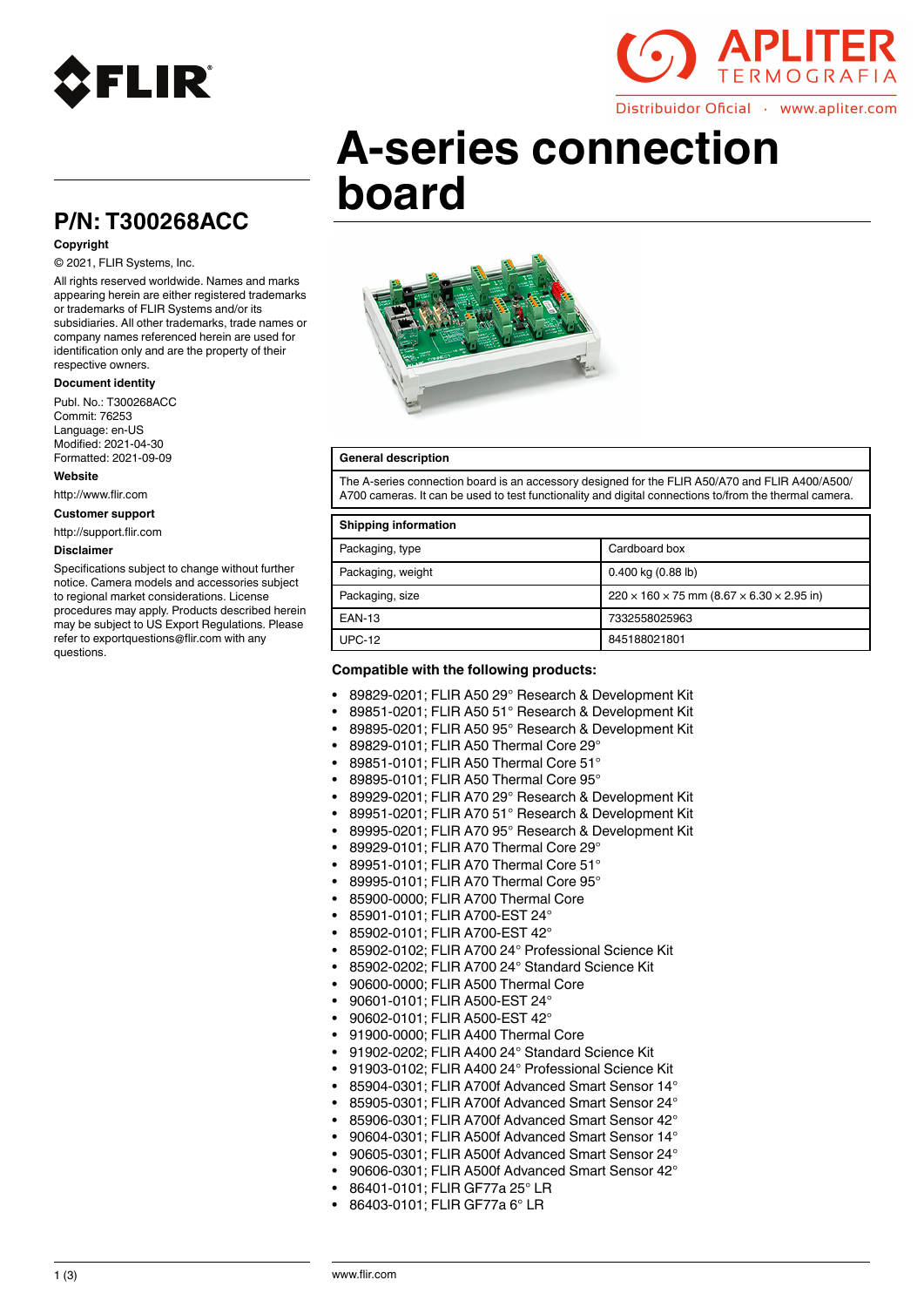



Distribuidor Oficial · www.apliter.com

# **A-series connection board**

# **P/N: T300268ACC**

### **Copyright**

#### © 2021, FLIR Systems, Inc.

All rights reserved worldwide. Names and marks appearing herein are either registered trademarks or trademarks of FLIR Systems and/or its subsidiaries. All other trademarks, trade names or company names referenced herein are used for identification only and are the property of their respective owners.

#### **Document identity**

Publ. No.: T300268ACC Commit: 76253 Language: en-US Modified: 2021-04-30 Formatted: 2021-09-09

#### **Website**

http://www.flir.com

**Customer support**

http://support.flir.com

#### **Disclaimer**

Specifications subject to change without further notice. Camera models and accessories subject to regional market considerations. License procedures may apply. Products described herein may be subject to US Export Regulations. Please refer to exportquestions@flir.com with any questions.



#### **General description**

The A-series connection board is an accessory designed for the FLIR A50/A70 and FLIR A400/A500/ A700 cameras. It can be used to test functionality and digital connections to/from the thermal camera.

#### **Shipping information**

| $   -$            |                                                                     |
|-------------------|---------------------------------------------------------------------|
| Packaging, type   | Cardboard box                                                       |
| Packaging, weight | $0.400$ kg $(0.88$ lb)                                              |
| Packaging, size   | $220 \times 160 \times 75$ mm (8.67 $\times$ 6.30 $\times$ 2.95 in) |
| <b>EAN-13</b>     | 7332558025963                                                       |
| <b>UPC-12</b>     | 845188021801                                                        |
|                   |                                                                     |

#### **Compatible with the following products:**

- 89829-0201; FLIR A50 29° Research & Development Kit
- 89851-0201; FLIR A50 51° Research & Development Kit
- 89895-0201; FLIR A50 95° Research & Development Kit
- 89829-0101; FLIR A50 Thermal Core 29°
- 89851-0101; FLIR A50 Thermal Core 51°
- 89895-0101; FLIR A50 Thermal Core 95°
- 89929-0201; FLIR A70 29° Research & Development Kit
- 89951-0201; FLIR A70 51° Research & Development Kit
- 89995-0201; FLIR A70 95° Research & Development Kit
- 89929-0101; FLIR A70 Thermal Core 29°
- 89951-0101; FLIR A70 Thermal Core 51°
- 89995-0101; FLIR A70 Thermal Core 95°
- 85900-0000; FLIR A700 Thermal Core
- 85901-0101; FLIR A700-EST 24°
- 85902-0101; FLIR A700-EST 42°
- 85902-0102; FLIR A700 24° Professional Science Kit
- 85902-0202; FLIR A700 24° Standard Science Kit
- 90600-0000; FLIR A500 Thermal Core
- 90601-0101; FLIR A500-EST 24°
- 90602-0101; FLIR A500-EST 42°
- 91900-0000; FLIR A400 Thermal Core
- 91902-0202; FLIR A400 24° Standard Science Kit
- 91903-0102; FLIR A400 24° Professional Science Kit
- 85904-0301; FLIR A700f Advanced Smart Sensor 14°
- 85905-0301; FLIR A700f Advanced Smart Sensor 24°
- 85906-0301; FLIR A700f Advanced Smart Sensor 42°
- 90604-0301; FLIR A500f Advanced Smart Sensor 14°
- 90605-0301; FLIR A500f Advanced Smart Sensor 24°
- 90606-0301; FLIR A500f Advanced Smart Sensor 42°
- 86401-0101; FLIR GF77a 25° LR
- 86403-0101; FLIR GF77a 6° LR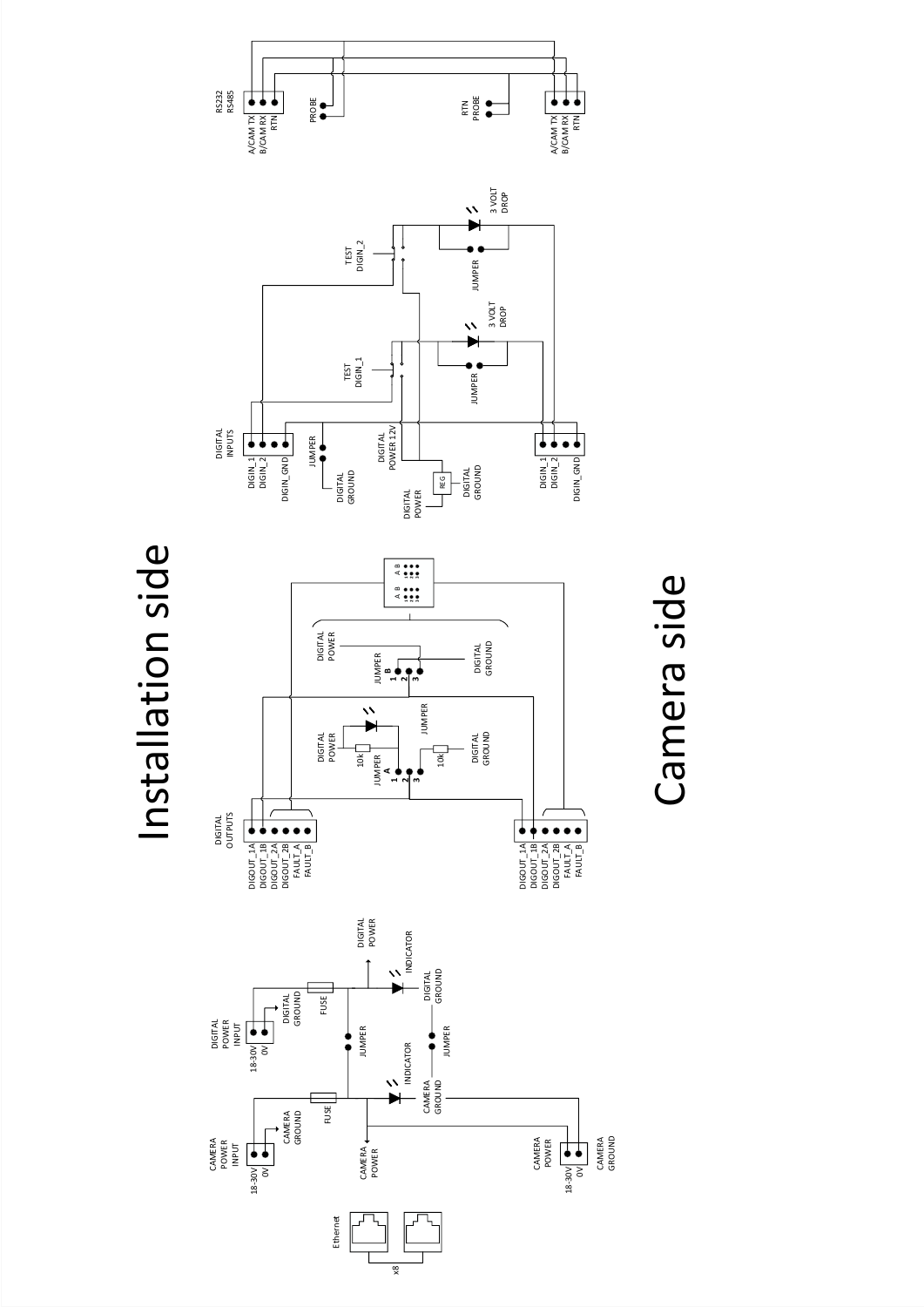

Camera side